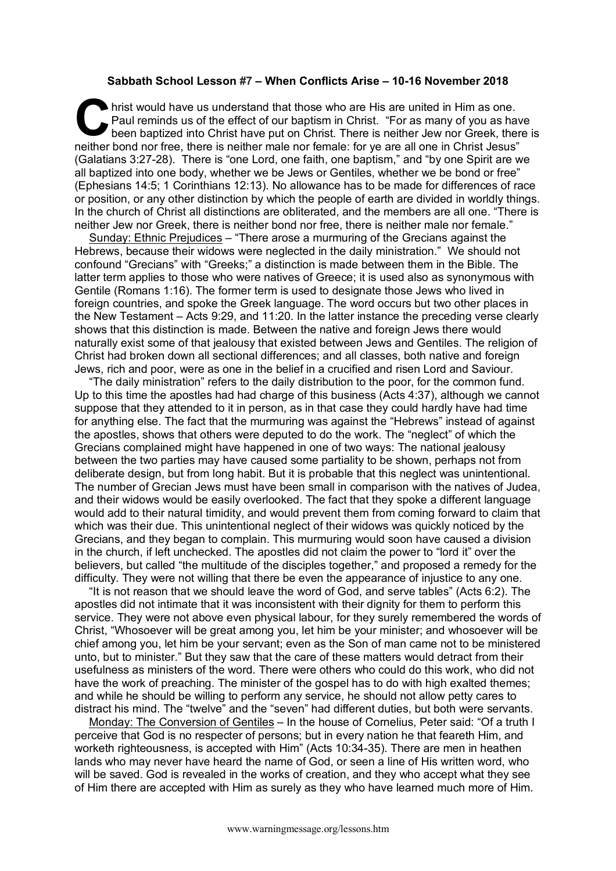## **Sabbath School Lesson #7 – When Conflicts Arise – 10-16 November 2018**

hrist would have us understand that those who are His are united in Him as one. Paul reminds us of the effect of our baptism in Christ. "For as many of you as have been baptized into Christ have put on Christ. There is neither Jew nor Greek, there is neither bond nor free, there is neither male nor female: for ye are all one in Christ Jesus" (Galatians 3:27-28). There is "one Lord, one faith, one baptism," and "by one Spirit are we all baptized into one body, whether we be Jews or Gentiles, whether we be bond or free" (Ephesians 14:5; 1 Corinthians 12:13). No allowance has to be made for differences of race or position, or any other distinction by which the people of earth are divided in worldly things. In the church of Christ all distinctions are obliterated, and the members are all one. "There is neither Jew nor Greek, there is neither bond nor free, there is neither male nor female." **C** hris

Sunday: Ethnic Prejudices - "There arose a murmuring of the Grecians against the Hebrews, because their widows were neglected in the daily ministration." We should not confound "Grecians" with "Greeks;" a distinction is made between them in the Bible. The latter term applies to those who were natives of Greece; it is used also as synonymous with Gentile (Romans 1:16). The former term is used to designate those Jews who lived in foreign countries, and spoke the Greek language. The word occurs but two other places in the New Testament – Acts 9:29, and 11:20. In the latter instance the preceding verse clearly shows that this distinction is made. Between the native and foreign Jews there would naturally exist some of that jealousy that existed between Jews and Gentiles. The religion of Christ had broken down all sectional differences; and all classes, both native and foreign Jews, rich and poor, were as one in the belief in a crucified and risen Lord and Saviour.

"The daily ministration" refers to the daily distribution to the poor, for the common fund. Up to this time the apostles had had charge of this business (Acts 4:37), although we cannot suppose that they attended to it in person, as in that case they could hardly have had time for anything else. The fact that the murmuring was against the "Hebrews" instead of against the apostles, shows that others were deputed to do the work. The "neglect" of which the Grecians complained might have happened in one of two ways: The national jealousy between the two parties may have caused some partiality to be shown, perhaps not from deliberate design, but from long habit. But it is probable that this neglect was unintentional. The number of Grecian Jews must have been small in comparison with the natives of Judea, and their widows would be easily overlooked. The fact that they spoke a different language would add to their natural timidity, and would prevent them from coming forward to claim that which was their due. This unintentional neglect of their widows was quickly noticed by the Grecians, and they began to complain. This murmuring would soon have caused a division in the church, if left unchecked. The apostles did not claim the power to "lord it" over the believers, but called "the multitude of the disciples together," and proposed a remedy for the difficulty. They were not willing that there be even the appearance of injustice to any one.

"It is not reason that we should leave the word of God, and serve tables" (Acts 6:2). The apostles did not intimate that it was inconsistent with their dignity for them to perform this service. They were not above even physical labour, for they surely remembered the words of Christ, "Whosoever will be great among you, let him be your minister; and whosoever will be chief among you, let him be your servant; even as the Son of man came not to be ministered unto, but to minister." But they saw that the care of these matters would detract from their usefulness as ministers of the word. There were others who could do this work, who did not have the work of preaching. The minister of the gospel has to do with high exalted themes; and while he should be willing to perform any service, he should not allow petty cares to distract his mind. The "twelve" and the "seven" had different duties, but both were servants.

Monday: The Conversion of Gentiles – In the house of Cornelius, Peter said: "Of a truth I perceive that God is no respecter of persons; but in every nation he that feareth Him, and worketh righteousness, is accepted with Him" (Acts 10:34-35). There are men in heathen lands who may never have heard the name of God, or seen a line of His written word, who will be saved. God is revealed in the works of creation, and they who accept what they see of Him there are accepted with Him as surely as they who have learned much more of Him.